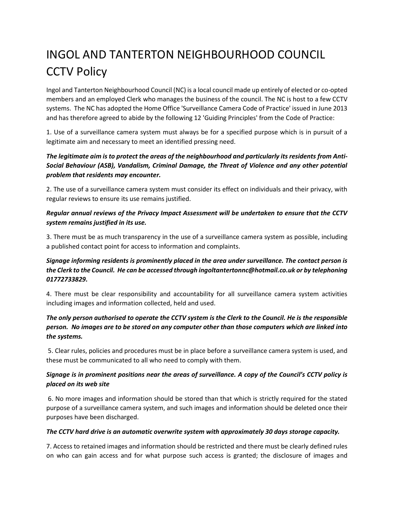# INGOL AND TANTERTON NEIGHBOURHOOD COUNCIL CCTV Policy

Ingol and Tanterton Neighbourhood Council (NC) is a local council made up entirely of elected or co-opted members and an employed Clerk who manages the business of the council. The NC is host to a few CCTV systems. The NC has adopted the Home Office 'Surveillance Camera Code of Practice' issued in June 2013 and has therefore agreed to abide by the following 12 'Guiding Principles' from the Code of Practice:

1. Use of a surveillance camera system must always be for a specified purpose which is in pursuit of a legitimate aim and necessary to meet an identified pressing need.

## *The legitimate aim is to protect the areas of the neighbourhood and particularly its residents from Anti-Social Behaviour (ASB), Vandalism, Criminal Damage, the Threat of Violence and any other potential problem that residents may encounter.*

2. The use of a surveillance camera system must consider its effect on individuals and their privacy, with regular reviews to ensure its use remains justified.

## *Regular annual reviews of the Privacy Impact Assessment will be undertaken to ensure that the CCTV system remains justified in its use.*

3. There must be as much transparency in the use of a surveillance camera system as possible, including a published contact point for access to information and complaints.

## *Signage informing residents is prominently placed in the area under surveillance. The contact person is the Clerk to the Council. He can be accessed through ingoltantertonnc@hotmail.co.uk or by telephoning 01772733829.*

4. There must be clear responsibility and accountability for all surveillance camera system activities including images and information collected, held and used.

## *The only person authorised to operate the CCTV system is the Clerk to the Council. He is the responsible person. No images are to be stored on any computer other than those computers which are linked into the systems.*

5. Clear rules, policies and procedures must be in place before a surveillance camera system is used, and these must be communicated to all who need to comply with them.

## *Signage is in prominent positions near the areas of surveillance. A copy of the Council's CCTV policy is placed on its web site*

6. No more images and information should be stored than that which is strictly required for the stated purpose of a surveillance camera system, and such images and information should be deleted once their purposes have been discharged.

#### *The CCTV hard drive is an automatic overwrite system with approximately 30 days storage capacity.*

7. Access to retained images and information should be restricted and there must be clearly defined rules on who can gain access and for what purpose such access is granted; the disclosure of images and